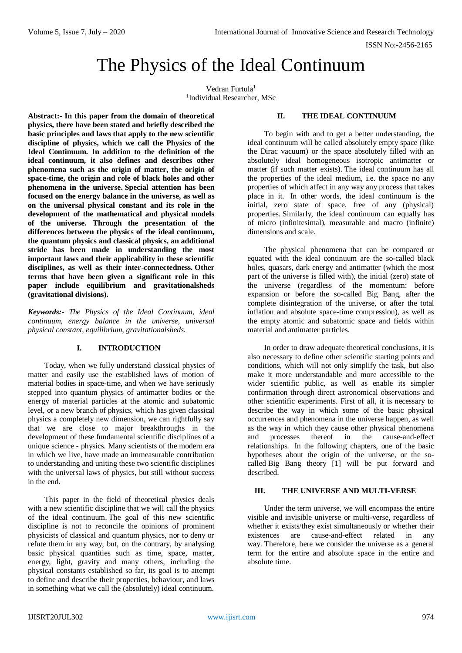ISSN No:-2456-2165

# The Physics of the Ideal Continuum

Vedran Furtula<sup>1</sup> 1 Individual Researcher, MSc

**Abstract:- In this paper from the domain of theoretical physics, there have been stated and briefly described the basic principles and laws that apply to the new scientific discipline of physics, which we call the Physics of the Ideal Continuum. In addition to the definition of the ideal continuum, it also defines and describes other phenomena such as the origin of matter, the origin of space-time, the origin and role of black holes and other phenomena in the universe. Special attention has been focused on the energy balance in the universe, as well as on the universal physical constant and its role in the development of the mathematical and physical models of the universe. Through the presentation of the differences between the physics of the ideal continuum, the quantum physics and classical physics, an additional stride has been made in understanding the most important laws and their applicability in these scientific disciplines, as well as their inter-connectedness. Other terms that have been given a significant role in this paper include equilibrium and gravitationalsheds (gravitational divisions).**

*Keywords:- The Physics of the Ideal Continuum, ideal continuum, energy balance in the universe, universal physical constant, equilibrium, gravitationalsheds.*

## **I. INTRODUCTION**

Today, when we fully understand classical physics of matter and easily use the established laws of motion of material bodies in space-time, and when we have seriously stepped into quantum physics of antimatter bodies or the energy of material particles at the atomic and subatomic level, or a new branch of physics, which has given classical physics a completely new dimension, we can rightfully say that we are close to major breakthroughs in the development of these fundamental scientific disciplines of a unique science - physics. Many scientists of the modern era in which we live, have made an immeasurable contribution to understanding and uniting these two scientific disciplines with the universal laws of physics, but still without success in the end.

This paper in the field of theoretical physics deals with a new scientific discipline that we will call the physics of the ideal continuum. The goal of this new scientific discipline is not to reconcile the opinions of prominent physicists of classical and quantum physics, nor to deny or refute them in any way, but, on the contrary, by analysing basic physical quantities such as time, space, matter, energy, light, gravity and many others, including the physical constants established so far, its goal is to attempt to define and describe their properties, behaviour, and laws in something what we call the (absolutely) ideal continuum.

# **II. THE IDEAL CONTINUUM**

To begin with and to get a better understanding, the ideal continuum will be called absolutely empty space (like the Dirac vacuum) or the space absolutely filled with an absolutely ideal homogeneous isotropic antimatter or matter (if such matter exists). The ideal continuum has all the properties of the ideal medium, i.e. the space no any properties of which affect in any way any process that takes place in it. In other words, the ideal continuum is the initial, zero state of space, free of any (physical) properties. Similarly, the ideal continuum can equally has of micro (infinitesimal), measurable and macro (infinite) dimensions and scale.

The physical phenomena that can be compared or equated with the ideal continuum are the so-called black holes, quasars, dark energy and antimatter (which the most part of the universe is filled with), the initial (zero) state of the universe (regardless of the momentum: before expansion or before the so-called Big Bang, after the complete disintegration of the universe, or after the total inflation and absolute space-time compression), as well as the empty atomic and subatomic space and fields within material and antimatter particles.

In order to draw adequate theoretical conclusions, it is also necessary to define other scientific starting points and conditions, which will not only simplify the task, but also make it more understandable and more accessible to the wider scientific public, as well as enable its simpler confirmation through direct astronomical observations and other scientific experiments. First of all, it is necessary to describe the way in which some of the basic physical occurrences and phenomena in the universe happen, as well as the way in which they cause other physical phenomena and processes thereof in the cause-and-effect relationships. In the following chapters, one of the basic hypotheses about the origin of the universe, or the socalled Big Bang theory [1] will be put forward and described.

## **III. THE UNIVERSE AND MULTI-VERSE**

Under the term universe, we will encompass the entire visible and invisible universe or multi-verse, regardless of whether it exists/they exist simultaneously or whether their existences are cause-and-effect related in any way. Therefore, here we consider the universe as a general term for the entire and absolute space in the entire and absolute time.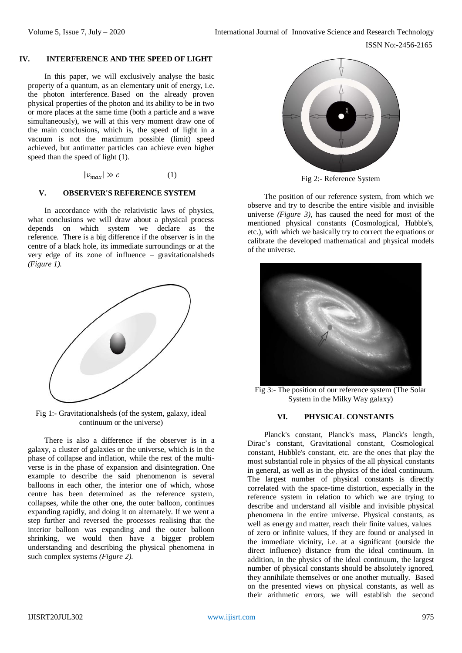## **IV. INTERFERENCE AND THE SPEED OF LIGHT**

In this paper, we will exclusively analyse the basic property of a quantum, as an elementary unit of energy, i.e. the photon interference. Based on the already proven physical properties of the photon and its ability to be in two or more places at the same time (both a particle and a wave simultaneously), we will at this very moment draw one of the main conclusions, which is, the speed of light in a vacuum is not the maximum possible (limit) speed achieved, but antimatter particles can achieve even higher speed than the speed of light (1).

 $|v_{max}| \gg c$  (1)

# **V. OBSERVER'S REFERENCE SYSTEM**

In accordance with the relativistic laws of physics, what conclusions we will draw about a physical process depends on which system we declare as the reference. There is a big difference if the observer is in the centre of a black hole, its immediate surroundings or at the very edge of its zone of influence – gravitationalsheds *(Figure 1).*



Fig 1:- Gravitationalsheds (of the system, galaxy, ideal continuum or the universe)

There is also a difference if the observer is in a galaxy, a cluster of galaxies or the universe, which is in the phase of collapse and inflation, while the rest of the multiverse is in the phase of expansion and disintegration. One example to describe the said phenomenon is several balloons in each other, the interior one of which, whose centre has been determined as the reference system, collapses, while the other one, the outer balloon, continues expanding rapidly, and doing it on alternately. If we went a step further and reversed the processes realising that the interior balloon was expanding and the outer balloon shrinking, we would then have a bigger problem understanding and describing the physical phenomena in such complex systems *(Figure 2).*



Fig 2:- Reference System

The position of our reference system, from which we observe and try to describe the entire visible and invisible universe *(Figure 3),* has caused the need for most of the mentioned physical constants (Cosmological, Hubble's, etc.), with which we basically try to correct the equations or calibrate the developed mathematical and physical models of the universe.



Fig 3:- The position of our reference system (The Solar System in the Milky Way galaxy)

#### **VI. PHYSICAL CONSTANTS**

Planck's constant, Planck's mass, Planck's length, Dirac's constant, Gravitational constant, Cosmological constant, Hubble's constant, etc. are the ones that play the most substantial role in physics of the all physical constants in general, as well as in the physics of the ideal continuum. The largest number of physical constants is directly correlated with the space-time distortion, especially in the reference system in relation to which we are trying to describe and understand all visible and invisible physical phenomena in the entire universe. Physical constants, as well as energy and matter, reach their finite values, values of zero or infinite values, if they are found or analysed in the immediate vicinity, i.e. at a significant (outside the direct influence) distance from the ideal continuum. In addition, in the physics of the ideal continuum, the largest number of physical constants should be absolutely ignored, they annihilate themselves or one another mutually. Based on the presented views on physical constants, as well as their arithmetic errors, we will establish the second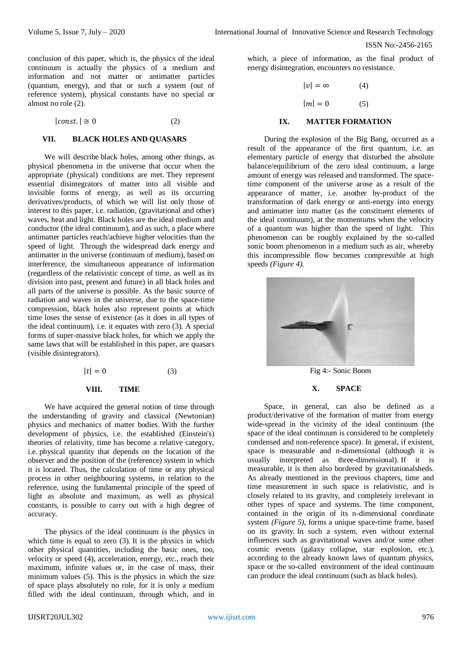conclusion of this paper, which is, the physics of the ideal continuum is actually the physics of a medium and information and not matter or antimatter particles (quantum, energy), and that or such a system (out of reference system), physical constants have no special or almost no role (2).

 $|const.| \approx 0$  (2)

## **VII. BLACK HOLES AND QUASARS**

We will describe black holes, among other things, as physical phenomena in the universe that occur when the appropriate (physical) conditions are met. They represent essential disintegrators of matter into all visible and invisible forms of energy, as well as its occurring derivatives/products, of which we will list only those of interest to this paper, i.e. radiation, (gravitational and other) waves, heat and light. Black holes are the ideal medium and conductor (the ideal continuum), and as such, a place where antimatter particles reach/achieve higher velocities than the speed of light. Through the widespread dark energy and antimatter in the universe (continuum of medium), based on interference, the simultaneous appearance of information (regardless of the relativistic concept of time, as well as its division into past, present and future) in all black holes and all parts of the universe is possible. As the basic source of radiation and waves in the universe, due to the space-time compression, black holes also represent points at which time loses the sense of existence (as it does in all types of the ideal continuum), i.e. it equates with zero (3). A special forms of super-massive black holes, for which we apply the same laws that will be established in this paper, are quasars (visible disintegrators).

$$
|t| = 0 \tag{3}
$$

#### **VIII. TIME**

We have acquired the general notion of time through the understanding of gravity and classical (Newtonian) physics and mechanics of matter bodies. With the further development of physics, i.e. the established (Einstein's) theories of relativity, time has become a relative category, i.e. physical quantity that depends on the location of the observer and the position of the (reference) system in which it is located. Thus, the calculation of time or any physical process in other neighbouring systems, in relation to the reference, using the fundamental principle of the speed of light as absolute and maximum, as well as physical constants, is possible to carry out with a high degree of accuracy.

The physics of the ideal continuum is the physics in which time is equal to zero  $(3)$ . It is the physics in which other physical quantities, including the basic ones, too, velocity or speed (4), acceleration, energy, etc., reach their maximum, infinite values or, in the case of mass, their minimum values (5). This is the physics in which the size of space plays absolutely no role, for it is only a medium filled with the ideal continuum, through which, and in which, a piece of information, as the final product of energy disintegration, encounters no resistance.

$$
|v| = \infty \tag{4}
$$

 $|m| = 0$  (5)

#### **IX. MATTER FORMATION**

During the explosion of the Big Bang, occurred as a result of the appearance of the first quantum, i.e. an elementary particle of energy that disturbed the absolute balance/equilibrium of the zero ideal continuum, a large amount of energy was released and transformed. The spacetime component of the universe arose as a result of the appearance of matter, i.e. another by-product of the transformation of dark energy or anti-energy into energy and antimatter into matter (as the constituent elements of the ideal continuum), at the momentums when the velocity of a quantum was higher than the speed of light. This phenomenon can be roughly explained by the so-called sonic boom phenomenon in a medium such as air, whereby this incompressible flow becomes compressible at high speeds *(Figure 4).*



Fig 4:- Sonic Boom

#### **X. SPACE**

Space, in general, can also be defined as a product/derivative of the formation of matter from energy wide-spread in the vicinity of the ideal continuum (the space of the ideal continuum is considered to be completely condensed and non-reference space). In general, if existent, space is measurable and n-dimensional (although it is usually interpreted as three-dimensional). If it is measurable, it is then also bordered by gravitationalsheds. As already mentioned in the previous chapters, time and time measurement in such space is relativistic, and is closely related to its gravity, and completely irrelevant in other types of space and systems. The time component, contained in the origin of its n-dimensional coordinate system *(Figure 5)*, forms a unique space-time frame, based on its gravity. In such a system, even without external influences such as gravitational waves and/or some other cosmic events (galaxy collapse, star explosion, etc.), according to the already known laws of quantum physics, space or the so-called environment of the ideal continuum can produce the ideal continuum (such as black holes).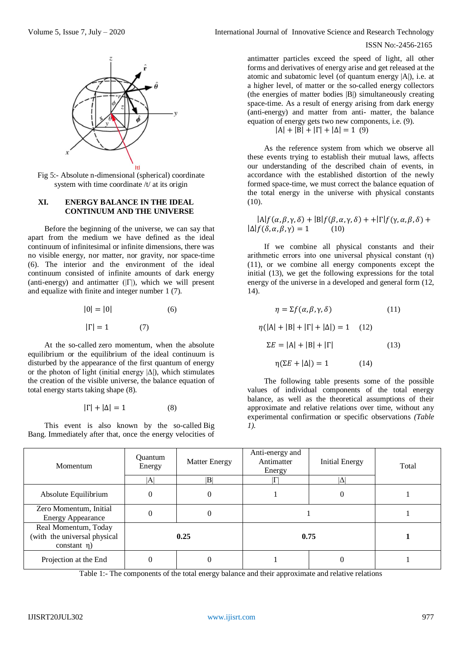

Fig 5:- Absolute n-dimensional (spherical) coordinate system with time coordinate /t/ at its origin

## **XI. ENERGY BALANCE IN THE IDEAL CONTINUUM AND THE UNIVERSE**

Before the beginning of the universe, we can say that apart from the medium we have defined as the ideal continuum of infinitesimal or infinite dimensions, there was no visible energy, nor matter, nor gravity, nor space-time (6). The interior and the environment of the ideal continuum consisted of infinite amounts of dark energy (anti-energy) and antimatter  $(|\Gamma|)$ , which we will present and equalize with finite and integer number 1 (7).

$$
|0| = |0|
$$
\n
$$
|\Gamma| = 1
$$
\n(7)

At the so-called zero momentum, when the absolute equilibrium or the equilibrium of the ideal continuum is disturbed by the appearance of the first quantum of energy or the photon of light (initial energy  $|\Delta|$ ), which stimulates the creation of the visible universe, the balance equation of total energy starts taking shape (8).

$$
|\Gamma| + |\Delta| = 1 \tag{8}
$$

This event is also known by the so-called Big Bang. Immediately after that, once the energy velocities of

ISSN No:-2456-2165

antimatter particles exceed the speed of light, all other forms and derivatives of energy arise and get released at the atomic and subatomic level (of quantum energy |A|), i.e. at a higher level, of matter or the so-called energy collectors (the energies of matter bodies |B|) simultaneously creating space-time. As a result of energy arising from dark energy (anti-energy) and matter from anti- matter, the balance equation of energy gets two new components, i.e. (9).

 $|A| + |B| + |\Gamma| + |\Delta| = 1$  (9)

As the reference system from which we observe all these events trying to establish their mutual laws, affects our understanding of the described chain of events, in accordance with the established distortion of the newly formed space-time, we must correct the balance equation of the total energy in the universe with physical constants  $(10)$ .

 $|A|f(\alpha, \beta, \gamma, \delta) + |B|f(\beta, \alpha, \gamma, \delta) + | \Gamma |f(\gamma, \alpha, \beta, \delta) +$  $|\Delta| f(\delta, \alpha, \beta, \gamma) = 1$  (10)

If we combine all physical constants and their arithmetic errors into one universal physical constant (η) (11), or we combine all energy components except the initial (13), we get the following expressions for the total energy of the universe in a developed and general form (12, 14).

$$
\eta = \Sigma f(\alpha, \beta, \gamma, \delta)
$$
(11)  

$$
\eta(|A| + |B| + |\Gamma| + |\Delta|) = 1
$$
(12)  

$$
\Sigma E = |A| + |B| + |\Gamma|
$$
(13)  

$$
\eta(\Sigma E + |\Delta|) = 1
$$
(14)

The following table presents some of the possible values of individual components of the total energy balance, as well as the theoretical assumptions of their approximate and relative relations over time, without any experimental confirmation or specific observations *(Table 1).*

| Momentum                                                                  | <b>Ouantum</b><br>Energy | <b>Matter Energy</b> | Anti-energy and<br>Antimatter<br>Energy | <b>Initial Energy</b> | Total |
|---------------------------------------------------------------------------|--------------------------|----------------------|-----------------------------------------|-----------------------|-------|
|                                                                           | $ {\rm A} $              | $ {\rm B} $          |                                         |                       |       |
| Absolute Equilibrium                                                      | $\theta$                 | $\theta$             |                                         | 0                     |       |
| Zero Momentum, Initial<br><b>Energy Appearance</b>                        | $\Omega$                 | 0                    |                                         |                       |       |
| Real Momentum, Today<br>(with the universal physical<br>constant $\eta$ ) | 0.25                     |                      | 0.75                                    |                       |       |
| Projection at the End                                                     |                          |                      |                                         |                       |       |

Table 1:- The components of the total energy balance and their approximate and relative relations